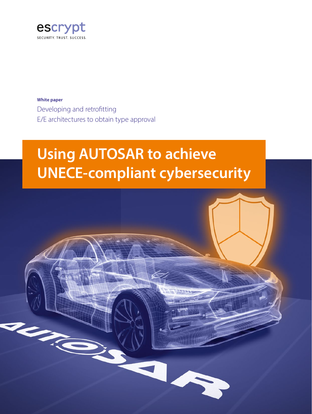

**White paper** Developing and retrofitting E/E architectures to obtain type approval

### **Using AUTOSAR to achieve UNECE-compliant cybersecurity**

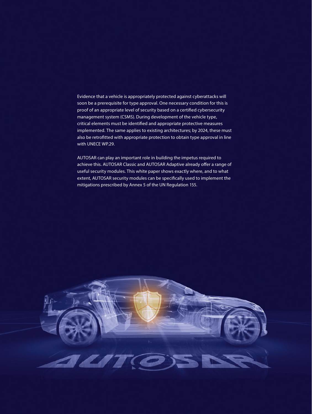Evidence that a vehicle is appropriately protected against cyberattacks will soon be a prerequisite for type approval. One necessary condition for this is proof of an appropriate level of security based on a certified cybersecurity management system (CSMS). During development of the vehicle type, critical elements must be identified and appropriate protective measures implemented. The same applies to existing architectures; by 2024, these must also be retrofitted with appropriate protection to obtain type approval in line with UNECE WP.29.

AUTOSAR can play an important role in building the impetus required to achieve this. AUTOSAR Classic and AUTOSAR Adaptive already offer a range of useful security modules. This white paper shows exactly where, and to what extent, AUTOSAR security modules can be specifically used to implement the mitigations prescribed by Annex 5 of the UN Regulation 155.

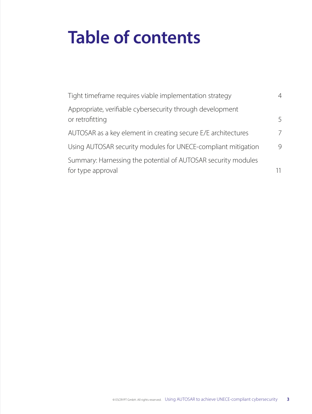# **Table of contents**

| Tight timeframe requires viable implementation strategy                            | 4  |
|------------------------------------------------------------------------------------|----|
| Appropriate, verifiable cybersecurity through development<br>or retrofitting       | 5  |
| AUTOSAR as a key element in creating secure E/E architectures                      | 7  |
| Using AUTOSAR security modules for UNECE-compliant mitigation                      | 9  |
| Summary: Harnessing the potential of AUTOSAR security modules<br>for type approval | 11 |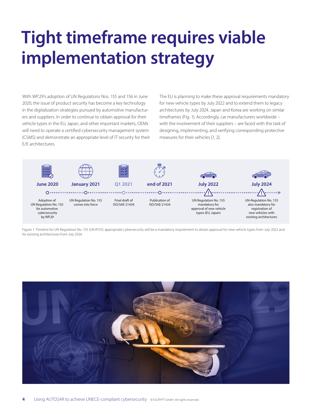# **Tight timeframe requires viable implementation strategy**

With WP.29's adoption of UN Regulations Nos. 155 and 156 in June 2020, the issue of product security has become a key technology in the digitalization strategies pursued by automotive manufacturers and suppliers. In order to continue to obtain approval for their vehicle types in the EU, Japan, and other important markets, OEMs will need to operate a certified cybersecurity management system (CSMS) and demonstrate an appropriate level of IT security for their E/E architectures.

The EU is planning to make these approval requirements mandatory for new vehicle types by July 2022 and to extend them to legacy architectures by July 2024. Japan and Korea are working on similar timeframes (Fig. 1). Accordingly, car manufacturers worldwide – with the involvement of their suppliers – are faced with the task of designing, implementing, and verifying corresponding protective measures for their vehicles [1, 2].



Figure 1: Timeline for UN Regulation No. 155 (UN R155): appropriate cybersecurity will be a mandatory requirement to obtain approval for new vehicle types from July 2022 and for existing architectures from July 2024.

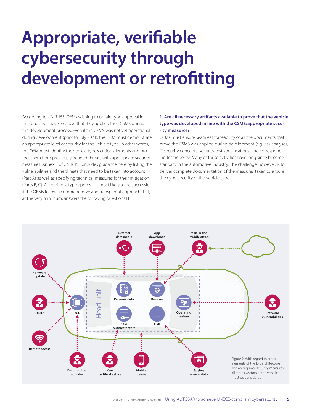# **Appropriate, verifiable cybersecurity through development or retrofitting**

According to UN R 155, OEMs wishing to obtain type approval in the future will have to prove that they applied their CSMS during the development process. Even if the CSMS was not yet operational during development (prior to July 2024), the OEM must demonstrate an appropriate level of security for the vehicle type: in other words, the OEM must identify the vehicle type's critical elements and protect them from previously defined threats with appropriate security measures. Annex 5 of UN R 155 provides guidance here by listing the vulnerabilities and the threats that need to be taken into account (Part A) as well as specifying technical measures for their mitigation (Parts B, C). Accordingly, type approval is most likely to be successful if the OEMs follow a comprehensive and transparent approach that, at the very minimum, answers the following questions [1]:

#### **1. Are all necessary artifacts available to prove that the vehicle type was developed in line with the CSMS/appropriate security measures?**

OEMs must ensure seamless traceability of all the documents that prove the CSMS was applied during development (e.g. risk analyses, IT security concepts, security test specifications, and corresponding test reports). Many of these activities have long since become standard in the automotive industry. The challenge, however, is to deliver complete documentation of the measures taken to ensure the cybersecurity of the vehicle type.

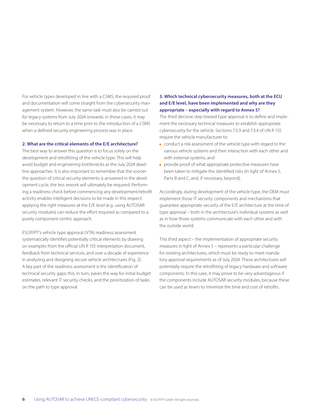For vehicle types developed in line with a CSMS, the required proof and documentation will come straight from the cybersecurity management system. However, the same task must also be carried out for legacy systems from July 2024 onwards: in these cases, it may be necessary to return to a time prior to the introduction of a CSMS when a defined security engineering process was in place.

#### **2. What are the critical elements of the E/E architecture?**

The best way to answer this question is to focus solely on the development and retrofitting of the vehicle type. This will help avoid budget and engineering bottlenecks as the July 2024 deadline approaches. It is also important to remember that the sooner the question of critical security elements is answered in the development cycle, the less rework will ultimately be required. Performing a readiness check before commencing any development/retrofit activity enables intelligent decisions to be made in this respect: applying the right measures at the E/E level (e.g. using AUTOSAR security modules) can reduce the effort required as compared to a purely component-centric approach.

ESCRYPT's vehicle type approval (VTA) readiness assessment systematically identifies potentially critical elements by drawing on examples from the official UN R 155 interpretation document, feedback from technical services, and over a decade of experience in analyzing and designing secure vehicle architectures (Fig. 2). A key part of the readiness assessment is the identification of technical security gaps; this, in turn, paves the way for initial budget estimates, relevant IT security checks, and the prioritization of tasks on the path to type approval.

#### **3. Which technical cybersecurity measures, both at the ECU and E/E level, have been implemented and why are they appropriate – especially with regard to Annex 5?**

The third decisive step toward type approval is to define and implement the necessary technical measures to establish appropriate cybersecurity for the vehicle. Sections 7.3.3 and 7.3.4 of UN R 155 require the vehicle manufacturer to:

- $\blacksquare$  conduct a risk assessment of the vehicle type with regard to the various vehicle systems and their interaction with each other and with external systems, and
- **provide proof of what appropriate protective measures have** been taken to mitigate the identified risks (in light of Annex 5, Parts B and C, and, if necessary, beyond).

Accordingly, during development of the vehicle type, the OEM must implement those IT security components and mechanisms that guarantee appropriate security of the E/E architecture at the time of type approval – both in the architecture's individual systems as well as in how those systems communicate with each other and with the outside world.

This third aspect – the implementation of appropriate security measures in light of Annex 5 – represents a particular challenge for existing architectures, which must be ready to meet mandatory approval requirements as of July 2024. These architectures will potentially require the retrofitting of legacy hardware and software components. In this case, it may prove to be very advantageous if the components include AUTOSAR security modules, because these can be used as levers to minimize the time and cost of retrofits.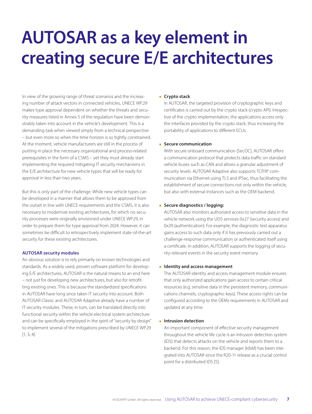## **AUTOSAR as a key element in creating secure E/E architectures**

In view of the growing range of threat scenarios and the increasing number of attack vectors in connected vehicles, UNECE WP.29 makes type approval dependent on whether the threats and security measures listed in Annex 5 of the regulation have been demonstrably taken into account in the vehicle's development. This is a demanding task when viewed simply from a technical perspective – but even more so when the time horizon is so tightly constrained. At the moment, vehicle manufacturers are still in the process of putting in place the necessary organizational and process-related prerequisites in the form of a CSMS – yet they must already start implementing the required mitigating IT security mechanisms in the E/E architecture for new vehicle types that will be ready for approval in less than two years.

But this is only part of the challenge. While new vehicle types can be developed in a manner that allows them to be approved from the outset in line with UNECE requirements and the CSMS, it is also necessary to modernize existing architectures, for which no security processes were originally envisioned under UNECE WP.29, in order to prepare them for type approval from 2024. However, it can sometimes be difficult to retrospectively implement state-of-the-art security for these existing architectures.

#### **AUTOSAR security modules**

An obvious solution is to rely primarily on known technologies and standards. As a widely used, proven software platform for developing E/E architectures, AUTOSAR is the natural means to an end here – not just for developing new architectures, but also for retrofitting existing ones. This is because the standardized specifications in AUTOSAR have long since taken IT security into account. Both AUTOSAR Classic and AUTOSAR Adaptive already have a number of IT security modules. These, in turn, can be translated directly into functional security within the vehicle electrical system architecture and can be specifically employed in the spirit of "security by design" to implement several of the mitigations prescribed by UNECE WP.29 [1, 3, 4]:

#### **E** Crypto stack

In AUTOSAR, the targeted provision of cryptographic keys and certificates is carried out by the crypto stack (crypto API). Irrespective of the crypto implementation, the applications access only the interfaces provided by the crypto stack, thus increasing the portability of applications to different ECUs.

#### **Secure communication**

With secure onboard communication (SecOC), AUTOSAR offers a communication protocol that protects data traffic on standard vehicle buses such as CAN and allows a granular adjustment of security levels. AUTOSAR Adaptive also supports TCP/IP communication via Ethernet using TLS and IPSec, thus facilitating the establishment of secure connections not only within the vehicle, but also with external instances such as the OEM backend.

#### **Secure diagnostics / logging:**

AUTOSAR also monitors authorized access to sensitive data in the vehicle network using the UDS services 0x27 (security access) and 0x29 (authentication). For example, the diagnostic test apparatus gains access to such data only if it has previously carried out a challenge-response communication or authenticated itself using a certificate. In addition, AUTOSAR supports the logging of security-relevant events in the security event memory.

#### **IDENTIFY AND ACCESS management**

The AUTOSAR identity and access management module ensures that only authorized applications gain access to certain critical resources (e.g. sensitive data in the persistent memory, communications channels, cryptographic keys). These access rights can be configured according to the OEMs requirements in AUTOSAR and updated at any time.

#### **E** Intrusion detection

An important component of effective security management throughout the vehicle life cycle is an intrusion detection system (IDS) that detects attacks on the vehicle and reports them to a backend. For this reason, the IDS manager (IdsM) has been integrated into AUTOSAR since the R20-11 release as a crucial control point for a distributed IDS [5].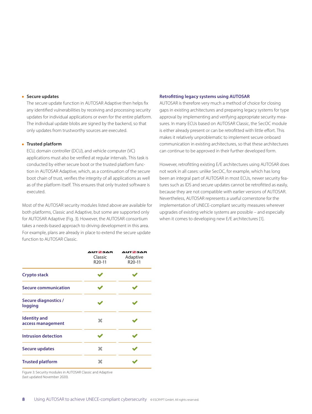#### **Secure updates**

The secure update function in AUTOSAR Adaptive then helps fix any identified vulnerabilities by receiving and processing security updates for individual applications or even for the entire platform. The individual update blobs are signed by the backend, so that only updates from trustworthy sources are executed.

#### **F** Trusted platform

ECU, domain controller (DCU), and vehicle computer (VC) applications must also be verified at regular intervals. This task is conducted by either secure boot or the trusted platform function in AUTOSAR Adaptive, which, as a continuation of the secure boot chain of trust, verifies the integrity of all applications as well as of the platform itself. This ensures that only trusted software is executed.

Most of the AUTOSAR security modules listed above are available for both platforms, Classic and Adaptive, but some are supported only for AUTOSAR Adaptive (Fig. 3). However, the AUTOSAR consortium takes a needs-based approach to driving development in this area. For example, plans are already in place to extend the secure update function to AUTOSAR Classic.

#### **Retrofitting legacy systems using AUTOSAR**

AUTOSAR is therefore very much a method of choice for closing gaps in existing architectures and preparing legacy systems for type approval by implementing and verifying appropriate security measures. In many ECUs based on AUTOSAR Classic, the SecOC module is either already present or can be retrofitted with little effort. This makes it relatively unproblematic to implement secure onboard communication in existing architectures, so that these architectures can continue to be approved in their further developed form.

However, retrofitting existing E/E architectures using AUTOSAR does not work in all cases: unlike SecOC, for example, which has long been an integral part of AUTOSAR in most ECUs, newer security features such as IDS and secure updates cannot be retrofitted as easily, because they are not compatible with earlier versions of AUTOSAR. Nevertheless, AUTOSAR represents a useful cornerstone for the implementation of UNECE-compliant security measures wherever upgrades of existing vehicle systems are possible – and especially when it comes to developing new E/E architectures [1].

|                                          | <b>AUTOSAR</b><br>Classic<br>R20-11 | <b>AUTOSAR</b><br>Adaptive<br>R <sub>20</sub> -11 |  |  |  |
|------------------------------------------|-------------------------------------|---------------------------------------------------|--|--|--|
| Crypto stack                             |                                     |                                                   |  |  |  |
| <b>Secure communication</b>              |                                     |                                                   |  |  |  |
| <b>Secure diagnostics /</b><br>logging   |                                     |                                                   |  |  |  |
| <b>Identity</b> and<br>access management | x                                   |                                                   |  |  |  |
| <b>Intrusion detection</b>               |                                     |                                                   |  |  |  |
| Secure updates                           | ×                                   |                                                   |  |  |  |
| <b>Trusted platform</b>                  |                                     |                                                   |  |  |  |

Figure 3: Security modules in AUTOSAR Classic and Adaptive (last updated November 2020).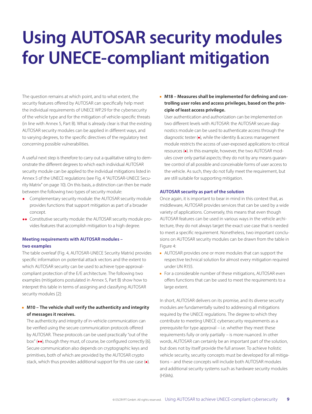## **Using AUTOSAR security modules for UNECE-compliant mitigation**

The question remains at which point, and to what extent, the security features offered by AUTOSAR can specifically help meet the individual requirements of UNECE WP.29 for the cybersecurity of the vehicle type and for the mitigation of vehicle-specific threats (in line with Annex 5, Part B). What is already clear is that the existing AUTOSAR security modules can be applied in different ways, and to varying degrees, to the specific directives of the regulatory text concerning possible vulnerabilities.

A useful next step is therefore to carry out a qualitative rating to demonstrate the different degrees to which each individual AUTOSAR security module can be applied to the individual mitigations listed in Annex 5 of the UNECE regulations (see Fig. 4 "AUTOSAR-UNECE Security Matrix" on page 10). On this basis, a distinction can then be made between the following two types of security module:

- Complementary security module: the AUTOSAR security module provides functions that support mitigation as part of a broader concept.
- **●●**  Constitutive security module: the AUTOSAR security module provides features that accomplish mitigation to a high degree.

#### **Meeting requirements with AUTOSAR modules – two examples**

The table overleaf (Fig. 4, AUTOSAR-UNECE Security Matrix) provides specific information on potential attack vectors and the extent to which AUTOSAR security can be used to achieve type-approvalcompliant protection of the E/E architecture. The following two examples (mitigations postulated in Annex 5, Part B) show how to interpret this table in terms of assigning and classifying AUTOSAR security modules [2]:

#### **M10 – The vehicle shall verify the authenticity and integrity of messages it receives.**

The authenticity and integrity of in-vehicle communication can be verified using the secure communication protocols offered by AUTOSAR. These protocols can be used practically "out of the box" (**●●**), though they must, of course, be configured correctly [6]. Secure communication also depends on cryptographic keys and primitives, both of which are provided by the AUTOSAR crypto stack, which thus provides additional support for this use case (**●**).

**M18 – Measures shall be implemented for defining and controlling user roles and access privileges, based on the principle of least access privilege.**

User authentication and authorization can be implemented on two different levels with AUTOSAR: the AUTOSAR secure diagnostics module can be used to authenticate access through the diagnostic tester (**●**), while the identity & access management module restricts the access of user-exposed applications to critical resources (**●**). In this example, however, the two AUTOSAR modules cover only partial aspects; they do not by any means guarantee control of all possible and conceivable forms of user access to the vehicle. As such, they do not fully meet the requirement, but are still suitable for supporting mitigation.

#### **AUTOSAR security as part of the solution**

Once again, it is important to bear in mind in this context that, as middleware, AUTOSAR provides services that can be used by a wide variety of applications. Conversely, this means that even though AUTOSAR features can be used in various ways in the vehicle architecture, they do not always target the exact use case that is needed to meet a specific requirement. Nonetheless, two important conclusions on AUTOSAR security modules can be drawn from the table in Figure 4:

- **AUTOSAR provides one or more modules that can support the** respective technical solution for almost every mitigation required under UN R155.
- $\blacksquare$  For a considerable number of these mitigations, AUTOSAR even offers functions that can be used to meet the requirements to a large extent.

In short, AUTOSAR delivers on its promise, and its diverse security modules are fundamentally suited to addressing all mitigations required by the UNECE regulations. The degree to which they contribute to meeting UNECE cybersecurity requirements as a prerequisite for type approval – i.e. whether they meet these requirements fully or only partially – is more nuanced. In other words, AUTOSAR can certainly be an important part of the solution, but does not by itself provide the full answer. To achieve holistic vehicle security, security concepts must be developed for all mitigations – and these concepts will include both AUTOSAR modules and additional security systems such as hardware security modules (HSMs).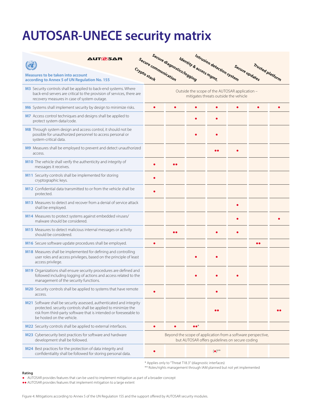### **AUTOSAR-UNECE security matrix**

| <b>AUTOSAR</b>                                                                                                                                                                                                                          | Secure communication                                                                                           | Secure diagnostics/logging | Identity & access mgmt. | Intrusion detection system |                |                  |  |
|-----------------------------------------------------------------------------------------------------------------------------------------------------------------------------------------------------------------------------------------|----------------------------------------------------------------------------------------------------------------|----------------------------|-------------------------|----------------------------|----------------|------------------|--|
| <b>Measures to be taken into account</b><br>according to Annex 5 of UN Regulation No. 155                                                                                                                                               | Crypto stack                                                                                                   |                            |                         |                            | Secure updates | Trusted platform |  |
| M3 Security controls shall be applied to back-end systems. Where<br>back-end servers are critical to the provision of services, there are<br>recovery measures in case of system outage.                                                | Outside the scope of the AUTOSAR application -<br>mitigates threats outside the vehicle                        |                            |                         |                            |                |                  |  |
| M6 Systems shall implement security by design to minimize risks.                                                                                                                                                                        |                                                                                                                |                            |                         |                            |                |                  |  |
| M7 Access control techniques and designs shall be applied to<br>protect system data/code.                                                                                                                                               |                                                                                                                |                            |                         |                            |                |                  |  |
| M8 Through system design and access control, it should not be<br>possible for unauthorized personnel to access personal or<br>system-critical data.                                                                                     |                                                                                                                |                            |                         |                            |                |                  |  |
| M9 Measures shall be employed to prevent and detect unauthorized<br>access.                                                                                                                                                             |                                                                                                                |                            |                         |                            |                |                  |  |
| M10 The vehicle shall verify the authenticity and integrity of<br>messages it receives.                                                                                                                                                 |                                                                                                                |                            |                         |                            |                |                  |  |
| M11 Security controls shall be implemented for storing<br>cryptographic keys.                                                                                                                                                           |                                                                                                                |                            |                         |                            |                |                  |  |
| M12 Confidential data transmitted to or from the vehicle shall be<br>protected.                                                                                                                                                         |                                                                                                                |                            |                         |                            |                |                  |  |
| M13 Measures to detect and recover from a denial of service attack<br>shall be employed.                                                                                                                                                |                                                                                                                |                            |                         |                            |                |                  |  |
| M14 Measures to protect systems against embedded viruses/<br>malware should be considered.                                                                                                                                              |                                                                                                                |                            |                         |                            |                |                  |  |
| M15 Measures to detect malicious internal messages or activity<br>should be considered.                                                                                                                                                 |                                                                                                                |                            |                         |                            |                |                  |  |
| M16 Secure software update procedures shall be employed.                                                                                                                                                                                |                                                                                                                |                            |                         |                            |                |                  |  |
| M18 Measures shall be implemented for defining and controlling<br>user roles and access privileges, based on the principle of least<br>access privilege.                                                                                |                                                                                                                |                            |                         |                            |                |                  |  |
| M19 Organizations shall ensure security procedures are defined and<br>followed including logging of actions and access related to the<br>management of the security functions.                                                          |                                                                                                                |                            |                         |                            |                |                  |  |
| M20 Security controls shall be applied to systems that have remote<br>access.                                                                                                                                                           |                                                                                                                |                            |                         |                            |                |                  |  |
| M21 Software shall be security assessed, authenticated and integrity<br>protected. security controls shall be applied to minimize the<br>risk from third-party software that is intended or foreseeable to<br>be hosted on the vehicle. |                                                                                                                |                            |                         |                            |                |                  |  |
| M22 Security controls shall be applied to external interfaces.                                                                                                                                                                          | $\bullet$                                                                                                      |                            | $\bullet\bullet^*$      |                            |                |                  |  |
| M23 Cybersecurity best practices for software and hardware<br>development shall be followed.                                                                                                                                            | Beyond the scope of application from a software perspective,<br>but AUTOSAR offers quidelines on secure coding |                            |                         |                            |                |                  |  |
| M24 Best practices for the protection of data integrity and<br>confidentiality shall be followed for storing personal data.                                                                                                             |                                                                                                                |                            |                         | $(\bullet)^{**}$           |                |                  |  |

\* Applies only to "Threat T18.3" (diagnostic interfaces)

\*\* Roles/rights management through IAM planned but not yet implemented

#### **Rating**

**●** AUTOSAR provides features that can be used to implement mitigation as part of a broader concept

**●●** AUTOSAR provides features that implement mitigation to a large extent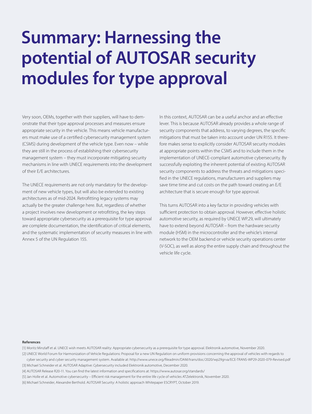# **Summary: Harnessing the potential of AUTOSAR security modules for type approval**

Very soon, OEMs, together with their suppliers, will have to demonstrate that their type approval processes and measures ensure appropriate security in the vehicle. This means vehicle manufacturers must make use of a certified cybersecurity management system (CSMS) during development of the vehicle type. Even now – while they are still in the process of establishing their cybersecurity management system – they must incorporate mitigating security mechanisms in line with UNECE requirements into the development of their E/E architectures.

The UNECE requirements are not only mandatory for the development of new vehicle types, but will also be extended to existing architectures as of mid-2024. Retrofitting legacy systems may actually be the greater challenge here. But, regardless of whether a project involves new development or retrofitting, the key steps toward appropriate cybersecurity as a prerequisite for type approval are complete documentation, the identification of critical elements, and the systematic implementation of security measures in line with Annex 5 of the UN Regulation 155.

In this context, AUTOSAR can be a useful anchor and an effective lever. This is because AUTOSAR already provides a whole range of security components that address, to varying degrees, the specific mitigations that must be taken into account under UN R155. It therefore makes sense to explicitly consider AUTOSAR security modules at appropriate points within the CSMS and to include them in the implementation of UNECE-compliant automotive cybersecurity. By successfully exploiting the inherent potential of existing AUTOSAR security components to address the threats and mitigations specified in the UNECE regulations, manufacturers and suppliers may save time time and cut costs on the path toward creating an E/E architecture that is secure enough for type approval.

This turns AUTOSAR into a key factor in providing vehicles with sufficient protection to obtain approval. However, effective holistic automotive security, as required by UNECE WP.29, will ultimately have to extend beyond AUTOSAR – from the hardware security module (HSM) in the microcontroller and the vehicle's internal network to the OEM backend or vehicle security operations center (V-SOC), as well as along the entire supply chain and throughout the vehicle life cycle.

#### **References**

[1] Moritz Minzlaff et al. UNECE wish meets AUTOSAR reality: Appropriate cybersecurity as a prerequisite for type approval. Elektronik automotive, November 2020.

[2] UNECE World Forum for Harmonization of Vehicle Regulations: Proposal for a new UN Regulation on uniform provisions concerning the approval of vehicles with regards to cyber security and cyber security management system. Available at: http://www.unece.org/fileadmin/DAM/trans/doc/2020/wp29grva/ECE-TRANS-WP29-2020-079-Revised.pdf [3] Michael Schneider et al. AUTOSAR Adaptive: Cybersecurity included Elektronik automotive, December 2020.

[4] AUTOSAR Release R20-11. You can find the latest information and specifications at: https://www.autosar.org/standards/

[5] Jan Holle et al. Automotive cybersecurity – Efficient risk management for the entire life cycle of vehicles ATZelektronik, November 2020.

[6] Michael Schneider, Alexandre Berthold. AUTOSAR Security: A holistic approach Whitepaper ESCRYPT, October 2019.